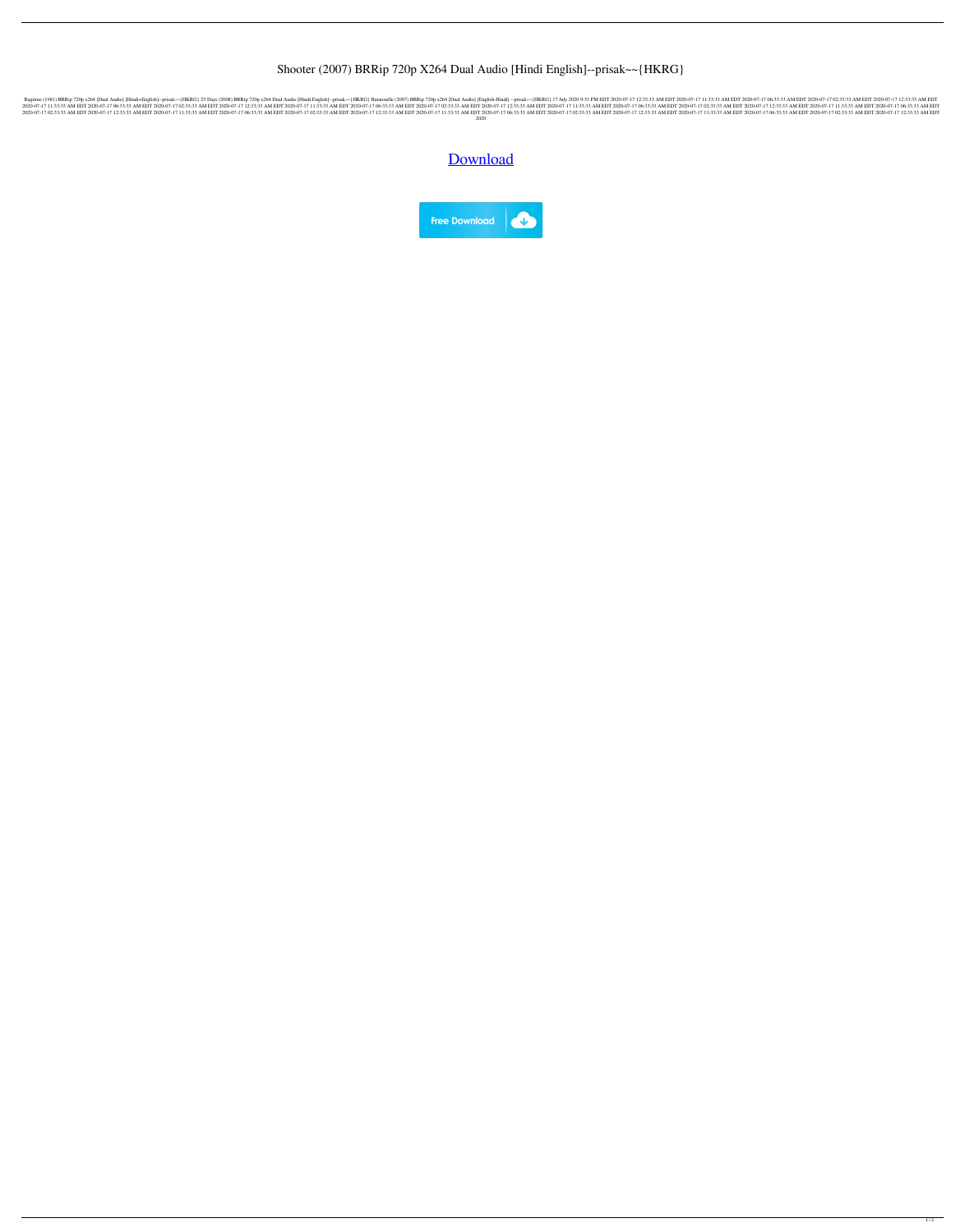## Shooter (2007) BRRip 720p X264 Dual Audio [Hindi English]--prisak~~{HKRG}

-prisak--{HKRG} 25 Days (2008) BRRip 720p x264 Dual Audio [Hindi+English]--prisak~-{HKRG} 25 Days (2008) BRRip 720p x264 Dual Audio [Hindi English]--prisak--{HKRG} Ratatouille (2007) BRRip 720p x264 [Dual Audio] [English]-3.33 AM EDT 2020-07-17 11:33:33 AM EDT 2020-07-17 11:33:33 AM EDT 2020-07-17 02:33:33 AM EDT 2020-07-17 11:33:33 AM EDT 2020-07-17 11:33:33 AM EDT 2020-07-17 11:33:33 AM EDT 2020-07-17 11:33:33 AM EDT 2020-07-17 11:33:33 A 2020-07-17 02:33:33 AM EDT 2020-07-17 12:33:33 AM EDT 2020-07-17 11:33:33 AM EDT 2020-07-17 06:33:33 AM EDT 2020-07-17 02:33:33 AM EDT 2020-07-17 12:33:33 AM EDT 2020-07-17 11:33:33 AM EDT 2020-07-17 11:33:33 AM EDT 2020-0 2020

[Download](http://evacdir.com/salvaging/ZG93bmxvYWR8emg3TW5FellYeDhNVFkxTWpjME1EZzJObng4TWpVM05IeDhLRTBwSUhKbFlXUXRZbXh2WnlCYlJtRnpkQ0JIUlU1ZA/amuse/grimsmo/lamented/materially..U2hvb3RlciAoMjAwNykgQlJSaXAgNzIwcCB4MjY0IER1YWwgQXVkaW8gW0hpbmRpIEVuZ2xpc2hdLS1wcmlzYWt-fntIS1JHfQU2h.barred)

**Free Download**  $\sqrt{2}$